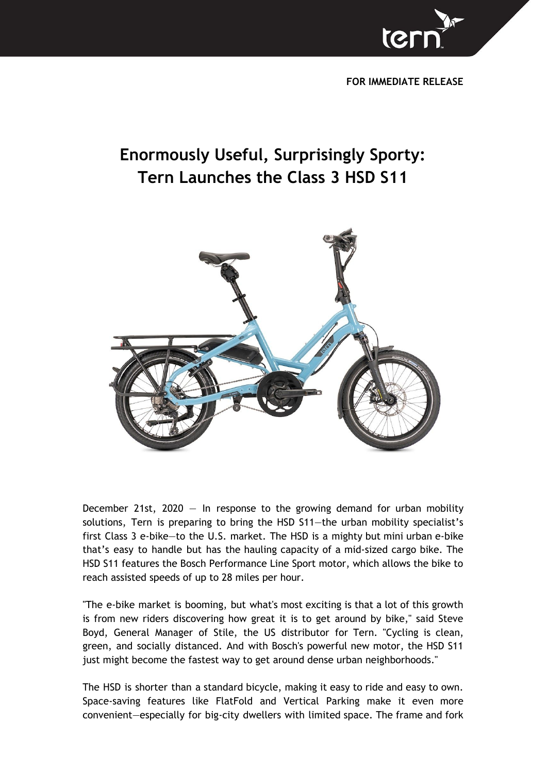

**FOR IMMEDIATE RELEASE**

## **Enormously Useful, Surprisingly Sporty: Tern Launches the Class 3 HSD S11**



December 21st, 2020  $-$  In response to the growing demand for urban mobility solutions, Tern is preparing to bring the HSD S11—the urban mobility specialist's first Class 3 e-bike—to the U.S. market. The HSD is a mighty but mini urban e-bike that's easy to handle but has the hauling capacity of a mid-sized cargo bike. The HSD S11 features the Bosch Performance Line Sport motor, which allows the bike to reach assisted speeds of up to 28 miles per hour.

"The e-bike market is booming, but what's most exciting is that a lot of this growth is from new riders discovering how great it is to get around by bike," said Steve Boyd, General Manager of Stile, the US distributor for Tern. "Cycling is clean, green, and socially distanced. And with Bosch's powerful new motor, the HSD S11 just might become the fastest way to get around dense urban neighborhoods."

The HSD is shorter than a standard bicycle, making it easy to ride and easy to own. Space-saving features like FlatFold and Vertical Parking make it even more convenient—especially for big-city dwellers with limited space. The frame and fork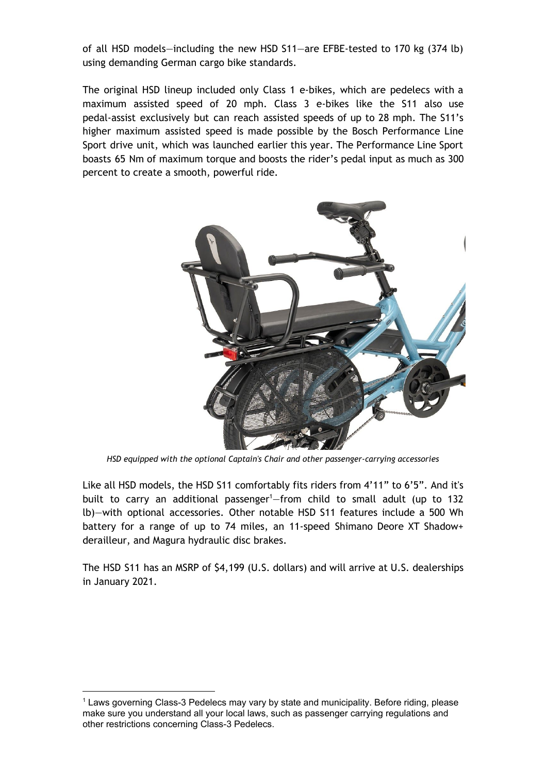of all HSD models—including the new HSD S11—are EFBE-tested to 170 kg (374 lb) using demanding German cargo bike standards.

The original HSD lineup included only Class 1 e-bikes, which are pedelecs with a maximum assisted speed of 20 mph. Class 3 e-bikes like the S11 also use pedal-assist exclusively but can reach assisted speeds of up to 28 mph. The S11's higher maximum assisted speed is made possible by the Bosch Performance Line Sport drive unit, which was launched earlier this year. The Performance Line Sport boasts 65 Nm of maximum torque and boosts the rider's pedal input as much as 300 percent to create a smooth, powerful ride.



*HSD equipped with the optional Captain's Chair and other passenger-carrying accessories*

Like all HSD models, the HSD S11 comfortably fits riders from 4'11" to 6'5". And it's built to carry an additional passenger<sup>1</sup>–from child to small adult (up to 132 lb)—with optional accessories. Other notable HSD S11 features include a 500 Wh battery for a range of up to 74 miles, an 11-speed Shimano Deore XT Shadow+ derailleur, and Magura hydraulic disc brakes.

The HSD S11 has an MSRP of \$4,199 (U.S. dollars) and will arrive at U.S. dealerships in January 2021.

<sup>1</sup> Laws governing Class-3 Pedelecs may vary by state and municipality. Before riding, please make sure you understand all your local laws, such as passenger carrying regulations and other restrictions concerning Class-3 Pedelecs.